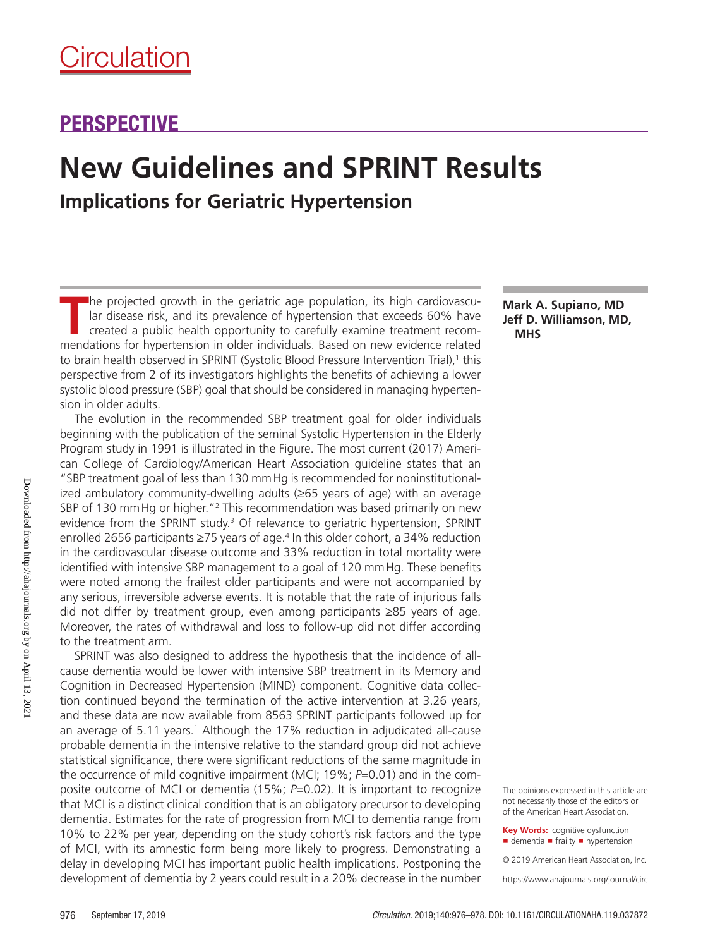# PERSPECTIVE

# **New Guidelines and SPRINT Results Implications for Geriatric Hypertension**

The projected growth in the geriatric age population, its high cardiovascu-<br>
Iar disease risk, and its prevalence of hypertension that exceeds 60% have<br>
created a public health opportunity to carefully examine treatment re lar disease risk, and its prevalence of hypertension that exceeds 60% have created a public health opportunity to carefully examine treatment recommendations for hypertension in older individuals. Based on new evidence related to brain health observed in SPRINT (Systolic Blood Pressure Intervention Trial),<sup>1</sup> this perspective from 2 of its investigators highlights the benefits of achieving a lower systolic blood pressure (SBP) goal that should be considered in managing hypertension in older adults.

The evolution in the recommended SBP treatment goal for older individuals beginning with the publication of the seminal Systolic Hypertension in the Elderly Program study in 1991 is illustrated in the Figure. The most current (2017) American College of Cardiology/American Heart Association guideline states that an "SBP treatment goal of less than 130 mmHg is recommended for noninstitutionalized ambulatory community-dwelling adults (≥65 years of age) with an average SBP of 130 mm Hg or higher."<sup>2</sup> This recommendation was based primarily on new evidence from the SPRINT study.<sup>3</sup> Of relevance to geriatric hypertension, SPRINT enrolled 2656 participants ≥75 years of age.<sup>4</sup> In this older cohort, a 34% reduction in the cardiovascular disease outcome and 33% reduction in total mortality were identified with intensive SBP management to a goal of 120 mmHg. These benefits were noted among the frailest older participants and were not accompanied by any serious, irreversible adverse events. It is notable that the rate of injurious falls did not differ by treatment group, even among participants ≥85 years of age. Moreover, the rates of withdrawal and loss to follow-up did not differ according to the treatment arm.

SPRINT was also designed to address the hypothesis that the incidence of allcause dementia would be lower with intensive SBP treatment in its Memory and Cognition in Decreased Hypertension (MIND) component. Cognitive data collection continued beyond the termination of the active intervention at 3.26 years, and these data are now available from 8563 SPRINT participants followed up for an average of 5.11 years.<sup>1</sup> Although the 17% reduction in adjudicated all-cause probable dementia in the intensive relative to the standard group did not achieve statistical significance, there were significant reductions of the same magnitude in the occurrence of mild cognitive impairment (MCI; 19%; *P*=0.01) and in the composite outcome of MCI or dementia (15%; *P*=0.02). It is important to recognize that MCI is a distinct clinical condition that is an obligatory precursor to developing dementia. Estimates for the rate of progression from MCI to dementia range from 10% to 22% per year, depending on the study cohort's risk factors and the type of MCI, with its amnestic form being more likely to progress. Demonstrating a delay in developing MCI has important public health implications. Postponing the development of dementia by 2 years could result in a 20% decrease in the number

**Mark A. Supiano, MD** 

The opinions expressed in this article are not necessarily those of the editors or of the American Heart Association.

**Key Words:** cognitive dysfunction ■ dementia ■ frailty ■ hypertension

© 2019 American Heart Association, Inc.

https://www.ahajournals.org/journal/circ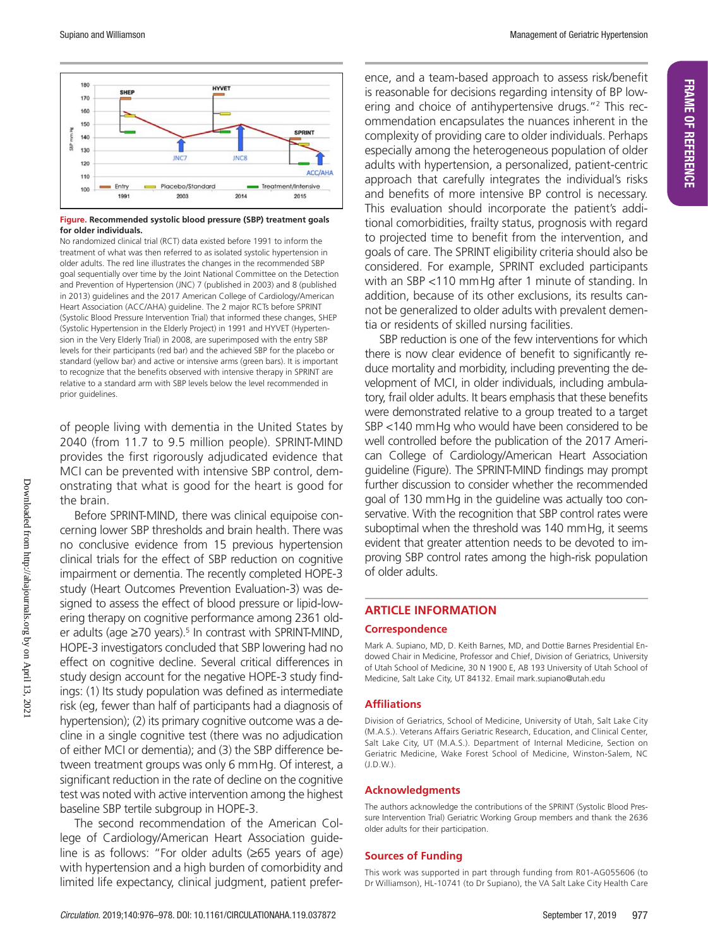**FRAME OF REFERENCE**

FRAME OF REFERENCE



#### **Figure. Recommended systolic blood pressure (SBP) treatment goals for older individuals.**

No randomized clinical trial (RCT) data existed before 1991 to inform the treatment of what was then referred to as isolated systolic hypertension in older adults. The red line illustrates the changes in the recommended SBP goal sequentially over time by the Joint National Committee on the Detection and Prevention of Hypertension (JNC) 7 (published in 2003) and 8 (published in 2013) guidelines and the 2017 American College of Cardiology/American Heart Association (ACC/AHA) guideline. The 2 major RCTs before SPRINT (Systolic Blood Pressure Intervention Trial) that informed these changes, SHEP (Systolic Hypertension in the Elderly Project) in 1991 and HYVET (Hypertension in the Very Elderly Trial) in 2008, are superimposed with the entry SBP levels for their participants (red bar) and the achieved SBP for the placebo or standard (yellow bar) and active or intensive arms (green bars). It is important to recognize that the benefits observed with intensive therapy in SPRINT are relative to a standard arm with SBP levels below the level recommended in prior guidelines.

of people living with dementia in the United States by 2040 (from 11.7 to 9.5 million people). SPRINT-MIND provides the first rigorously adjudicated evidence that MCI can be prevented with intensive SBP control, demonstrating that what is good for the heart is good for the brain.

Before SPRINT-MIND, there was clinical equipoise concerning lower SBP thresholds and brain health. There was no conclusive evidence from 15 previous hypertension clinical trials for the effect of SBP reduction on cognitive impairment or dementia. The recently completed HOPE-3 study (Heart Outcomes Prevention Evaluation-3) was designed to assess the effect of blood pressure or lipid-lowering therapy on cognitive performance among 2361 older adults (age  $\geq$ 70 years).<sup>5</sup> In contrast with SPRINT-MIND, HOPE-3 investigators concluded that SBP lowering had no effect on cognitive decline. Several critical differences in study design account for the negative HOPE-3 study findings: (1) Its study population was defined as intermediate risk (eg, fewer than half of participants had a diagnosis of hypertension); (2) its primary cognitive outcome was a decline in a single cognitive test (there was no adjudication of either MCI or dementia); and (3) the SBP difference between treatment groups was only 6 mmHg. Of interest, a significant reduction in the rate of decline on the cognitive test was noted with active intervention among the highest baseline SBP tertile subgroup in HOPE-3.

The second recommendation of the American College of Cardiology/American Heart Association guideline is as follows: "For older adults (≥65 years of age) with hypertension and a high burden of comorbidity and limited life expectancy, clinical judgment, patient preference, and a team-based approach to assess risk/benefit is reasonable for decisions regarding intensity of BP lowering and choice of antihypertensive drugs."<sup>2</sup> This recommendation encapsulates the nuances inherent in the complexity of providing care to older individuals. Perhaps especially among the heterogeneous population of older adults with hypertension, a personalized, patient-centric approach that carefully integrates the individual's risks and benefits of more intensive BP control is necessary. This evaluation should incorporate the patient's additional comorbidities, frailty status, prognosis with regard to projected time to benefit from the intervention, and goals of care. The SPRINT eligibility criteria should also be considered. For example, SPRINT excluded participants with an SBP <110 mmHg after 1 minute of standing. In addition, because of its other exclusions, its results cannot be generalized to older adults with prevalent dementia or residents of skilled nursing facilities.

SBP reduction is one of the few interventions for which there is now clear evidence of benefit to significantly reduce mortality and morbidity, including preventing the development of MCI, in older individuals, including ambulatory, frail older adults. It bears emphasis that these benefits were demonstrated relative to a group treated to a target SBP <140 mmHg who would have been considered to be well controlled before the publication of the 2017 American College of Cardiology/American Heart Association guideline (Figure). The SPRINT-MIND findings may prompt further discussion to consider whether the recommended goal of 130 mmHg in the guideline was actually too conservative. With the recognition that SBP control rates were suboptimal when the threshold was 140 mmHg, it seems evident that greater attention needs to be devoted to improving SBP control rates among the high-risk population of older adults.

# **ARTICLE INFORMATION**

#### **Correspondence**

Mark A. Supiano, MD, D. Keith Barnes, MD, and Dottie Barnes Presidential Endowed Chair in Medicine, Professor and Chief, Division of Geriatrics, University of Utah School of Medicine, 30 N 1900 E, AB 193 University of Utah School of Medicine, Salt Lake City, UT 84132. Email [mark.supiano@utah.edu](mailto:﻿mark.supiano@utah.edu﻿)

#### **Affiliations**

Division of Geriatrics, School of Medicine, University of Utah, Salt Lake City (M.A.S.). Veterans Affairs Geriatric Research, Education, and Clinical Center, Salt Lake City, UT (M.A.S.). Department of Internal Medicine, Section on Geriatric Medicine, Wake Forest School of Medicine, Winston-Salem, NC (J.D.W.).

#### **Acknowledgments**

The authors acknowledge the contributions of the SPRINT (Systolic Blood Pressure Intervention Trial) Geriatric Working Group members and thank the 2636 older adults for their participation.

## **Sources of Funding**

This work was supported in part through funding from R01-AG055606 (to Dr Williamson), HL-10741 (to Dr Supiano), the VA Salt Lake City Health Care